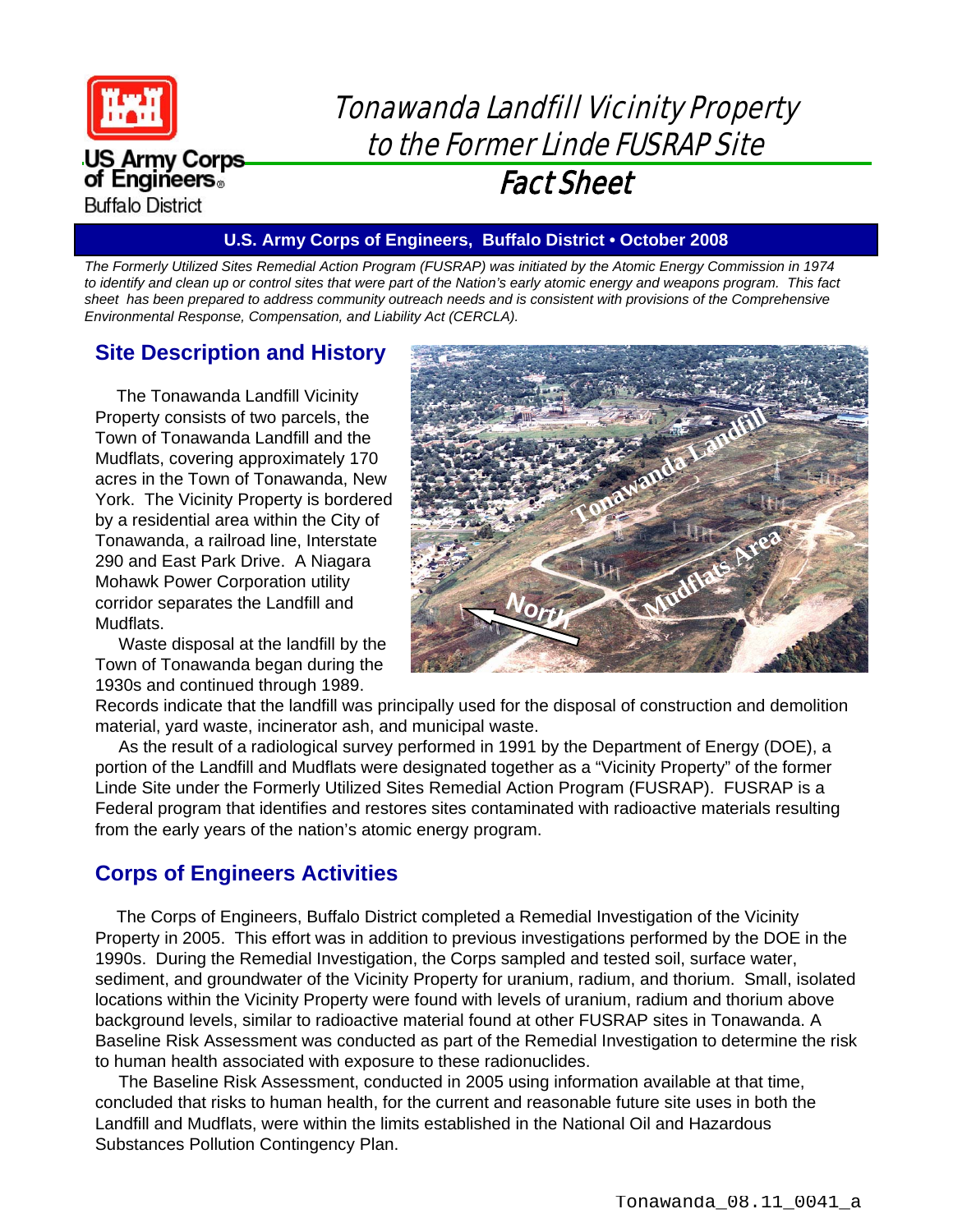

**US Army Corps** of Engineers。 **Buffalo District** 

# Tonawanda Landfill Vicinity Property to the Former Linde FUSRAP Site Fact Sheet

#### **U.S. Army Corps of Engineers, Buffalo District • October 2008**

*The Formerly Utilized Sites Remedial Action Program (FUSRAP) was initiated by the Atomic Energy Commission in 1974 to identify and clean up or control sites that were part of the Nation's early atomic energy and weapons program. This fact* sheet has been prepared to address community outreach needs and is consistent with provisions of the Comprehensive *Environmental Response, Compensation, and Liability Act (CERCLA).* 

### **Site Description and History**

The Tonawanda Landfill Vicinity Property consists of two parcels, the Town of Tonawanda Landfill and the Mudflats, covering approximately 170 acres in the Town of Tonawanda, New York. The Vicinity Property is bordered by a residential area within the City of Tonawanda, a railroad line, Interstate 290 and East Park Drive. A Niagara Mohawk Power Corporation utility corridor separates the Landfill and Mudflats.

Waste disposal at the landfill by the Town of Tonawanda began during the 1930s and continued through 1989.



Records indicate that the landfill was principally used for the disposal of construction and demolition material, yard waste, incinerator ash, and municipal waste.

As the result of a radiological survey performed in 1991 by the Department of Energy (DOE), a portion of the Landfill and Mudflats were designated together as a "Vicinity Property" of the former Linde Site under the Formerly Utilized Sites Remedial Action Program (FUSRAP). FUSRAP is a Federal program that identifies and restores sites contaminated with radioactive materials resulting from the early years of the nation's atomic energy program.

# **Corps of Engineers Activities**

The Corps of Engineers, Buffalo District completed a Remedial Investigation of the Vicinity Property in 2005. This effort was in addition to previous investigations performed by the DOE in the 1990s. During the Remedial Investigation, the Corps sampled and tested soil, surface water, sediment, and groundwater of the Vicinity Property for uranium, radium, and thorium. Small, isolated locations within the Vicinity Property were found with levels of uranium, radium and thorium above background levels, similar to radioactive material found at other FUSRAP sites in Tonawanda. A Baseline Risk Assessment was conducted as part of the Remedial Investigation to determine the risk to human health associated with exposure to these radionuclides.

The Baseline Risk Assessment, conducted in 2005 using information available at that time, concluded that risks to human health, for the current and reasonable future site uses in both the Landfill and Mudflats, were within the limits established in the National Oil and Hazardous Substances Pollution Contingency Plan.